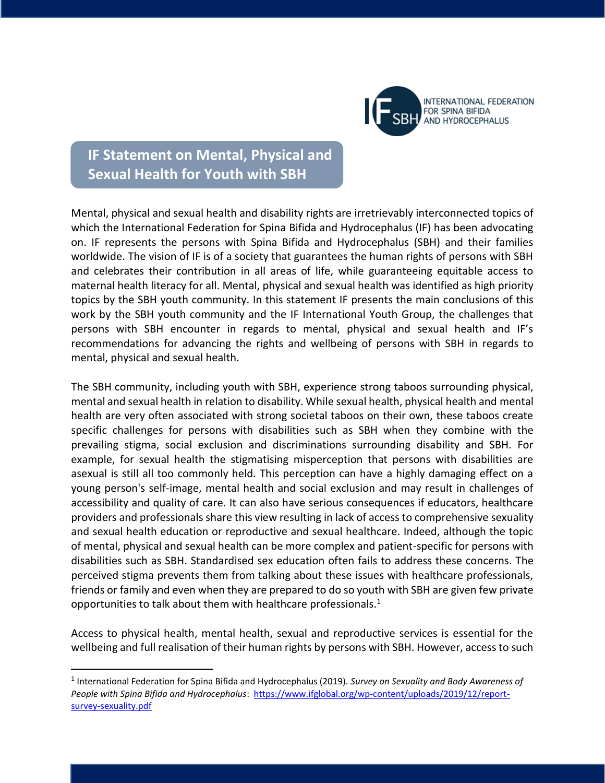

## **IF Statement on Mental, Physical and Sexual Health for Youth with SBH**

Mental, physical and sexual health and disability rights are irretrievably interconnected topics of which the International Federation for Spina Bifida and Hydrocephalus (IF) has been advocating on. IF represents the persons with Spina Bifida and Hydrocephalus (SBH) and their families worldwide. The vision of IF is of a society that guarantees the human rights of persons with SBH and celebrates their contribution in all areas of life, while guaranteeing equitable access to maternal health literacy for all. Mental, physical and sexual health was identified as high priority topics by the SBH youth community. In this statement IF presents the main conclusions of this work by the SBH youth community and the IF International Youth Group, the challenges that persons with SBH encounter in regards to mental, physical and sexual health and IF's recommendations for advancing the rights and wellbeing of persons with SBH in regards to mental, physical and sexual health.

The SBH community, including youth with SBH, experience strong taboos surrounding physical, mental and sexual health in relation to disability. While sexual health, physical health and mental health are very often associated with strong societal taboos on their own, these taboos create specific challenges for persons with disabilities such as SBH when they combine with the prevailing stigma, social exclusion and discriminations surrounding disability and SBH. For example, for sexual health the stigmatising misperception that persons with disabilities are asexual is still all too commonly held. This perception can have a highly damaging effect on a young person's self-image, mental health and social exclusion and may result in challenges of accessibility and quality of care. It can also have serious consequences if educators, healthcare providers and professionals share this view resulting in lack of access to comprehensive sexuality and sexual health education or reproductive and sexual healthcare. Indeed, although the topic of mental, physical and sexual health can be more complex and patient-specific for persons with disabilities such as SBH. Standardised sex education often fails to address these concerns. The perceived stigma prevents them from talking about these issues with healthcare professionals, friends or family and even when they are prepared to do so youth with SBH are given few private opportunities to talk about them with healthcare professionals. $1$ 

Access to physical health, mental health, sexual and reproductive services is essential for the wellbeing and full realisation of their human rights by persons with SBH. However, access to such

 $\overline{\phantom{a}}$ 

<sup>1</sup> International Federation for Spina Bifida and Hydrocephalus (2019). *Survey on Sexuality and Body Awareness of*  People with Spina Bifida and Hydrocephalus: [https://www.ifglobal.org/wp-content/uploads/2019/12/report](https://www.ifglobal.org/wp-content/uploads/2019/12/report-survey-sexuality.pdf)[survey-sexuality.pdf](https://www.ifglobal.org/wp-content/uploads/2019/12/report-survey-sexuality.pdf)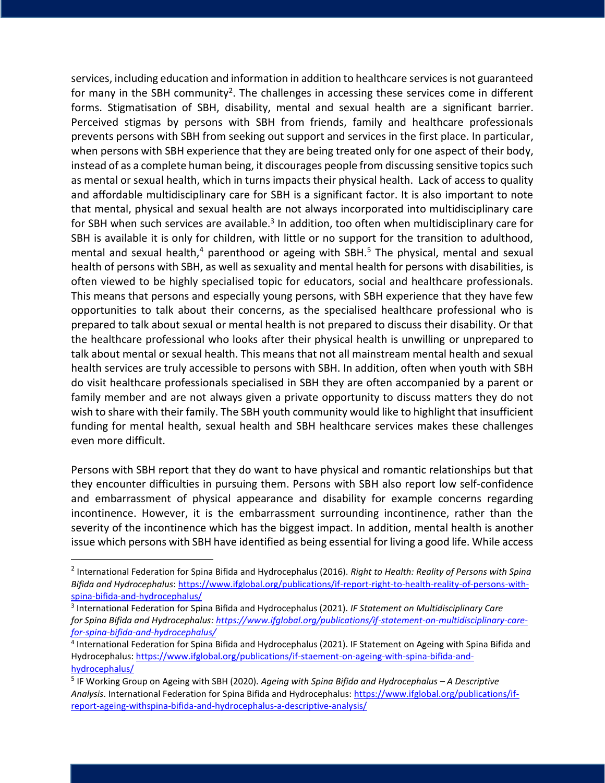services, including education and information in addition to healthcare services is not guaranteed for many in the SBH community<sup>2</sup>. The challenges in accessing these services come in different forms. Stigmatisation of SBH, disability, mental and sexual health are a significant barrier. Perceived stigmas by persons with SBH from friends, family and healthcare professionals prevents persons with SBH from seeking out support and services in the first place. In particular, when persons with SBH experience that they are being treated only for one aspect of their body, instead of as a complete human being, it discourages people from discussing sensitive topics such as mental or sexual health, which in turns impacts their physical health. Lack of access to quality and affordable multidisciplinary care for SBH is a significant factor. It is also important to note that mental, physical and sexual health are not always incorporated into multidisciplinary care for SBH when such services are available.<sup>3</sup> In addition, too often when multidisciplinary care for SBH is available it is only for children, with little or no support for the transition to adulthood, mental and sexual health, $4$  parenthood or ageing with SBH.<sup>5</sup> The physical, mental and sexual health of persons with SBH, as well as sexuality and mental health for persons with disabilities, is often viewed to be highly specialised topic for educators, social and healthcare professionals. This means that persons and especially young persons, with SBH experience that they have few opportunities to talk about their concerns, as the specialised healthcare professional who is prepared to talk about sexual or mental health is not prepared to discuss their disability. Or that the healthcare professional who looks after their physical health is unwilling or unprepared to talk about mental or sexual health. This means that not all mainstream mental health and sexual health services are truly accessible to persons with SBH. In addition, often when youth with SBH do visit healthcare professionals specialised in SBH they are often accompanied by a parent or family member and are not always given a private opportunity to discuss matters they do not wish to share with their family. The SBH youth community would like to highlight that insufficient funding for mental health, sexual health and SBH healthcare services makes these challenges even more difficult.

Persons with SBH report that they do want to have physical and romantic relationships but that they encounter difficulties in pursuing them. Persons with SBH also report low self-confidence and embarrassment of physical appearance and disability for example concerns regarding incontinence. However, it is the embarrassment surrounding incontinence, rather than the severity of the incontinence which has the biggest impact. In addition, mental health is another issue which persons with SBH have identified as being essential for living a good life. While access

 $\overline{a}$ 

<sup>2</sup> International Federation for Spina Bifida and Hydrocephalus (2016). *Right to Health: Reality of Persons with Spina Bifida and Hydrocephalus*[: https://www.ifglobal.org/publications/if-report-right-to-health-reality-of-persons-with](https://www.ifglobal.org/publications/if-report-right-to-health-reality-of-persons-with-spina-bifida-and-hydrocephalus/)[spina-bifida-and-hydrocephalus/](https://www.ifglobal.org/publications/if-report-right-to-health-reality-of-persons-with-spina-bifida-and-hydrocephalus/) 

<sup>3</sup> International Federation for Spina Bifida and Hydrocephalus (2021). *IF Statement on Multidisciplinary Care for Spina Bifida and Hydrocephalus[: https://www.ifglobal.org/publications/if-statement-on-multidisciplinary-care](https://www.ifglobal.org/publications/if-statement-on-multidisciplinary-care-for-spina-bifida-and-hydrocephalus/)[for-spina-bifida-and-hydrocephalus/](https://www.ifglobal.org/publications/if-statement-on-multidisciplinary-care-for-spina-bifida-and-hydrocephalus/)*

<sup>&</sup>lt;sup>4</sup> International Federation for Spina Bifida and Hydrocephalus (2021). IF Statement on Ageing with Spina Bifida and Hydrocephalus[: https://www.ifglobal.org/publications/if-staement-on-ageing-with-spina-bifida-and](https://www.ifglobal.org/publications/if-staement-on-ageing-with-spina-bifida-and-hydrocephalus/)[hydrocephalus/](https://www.ifglobal.org/publications/if-staement-on-ageing-with-spina-bifida-and-hydrocephalus/)

<sup>5</sup> IF Working Group on Ageing with SBH (2020). *Ageing with Spina Bifida and Hydrocephalus – A Descriptive Analysis*. International Federation for Spina Bifida and Hydrocephalus: [https://www.ifglobal.org/publications/if](https://www.ifglobal.org/publications/if-report-ageing-withspina-bifida-and-hydrocephalus-a-descriptive-analysis/)[report-ageing-withspina-bifida-and-hydrocephalus-a-descriptive-analysis/](https://www.ifglobal.org/publications/if-report-ageing-withspina-bifida-and-hydrocephalus-a-descriptive-analysis/)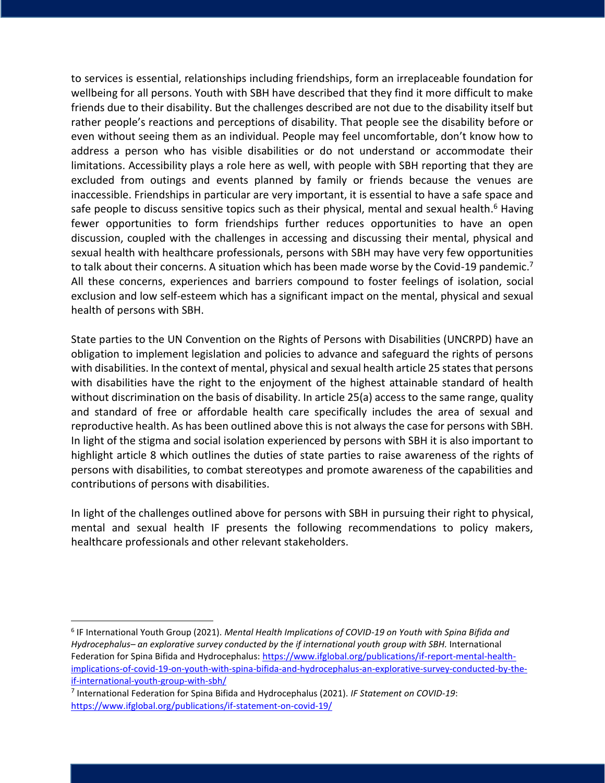to services is essential, relationships including friendships, form an irreplaceable foundation for wellbeing for all persons. Youth with SBH have described that they find it more difficult to make friends due to their disability. But the challenges described are not due to the disability itself but rather people's reactions and perceptions of disability. That people see the disability before or even without seeing them as an individual. People may feel uncomfortable, don't know how to address a person who has visible disabilities or do not understand or accommodate their limitations. Accessibility plays a role here as well, with people with SBH reporting that they are excluded from outings and events planned by family or friends because the venues are inaccessible. Friendships in particular are very important, it is essential to have a safe space and safe people to discuss sensitive topics such as their physical, mental and sexual health.<sup>6</sup> Having fewer opportunities to form friendships further reduces opportunities to have an open discussion, coupled with the challenges in accessing and discussing their mental, physical and sexual health with healthcare professionals, persons with SBH may have very few opportunities to talk about their concerns. A situation which has been made worse by the Covid-19 pandemic.<sup>7</sup> All these concerns, experiences and barriers compound to foster feelings of isolation, social exclusion and low self-esteem which has a significant impact on the mental, physical and sexual health of persons with SBH.

State parties to the UN Convention on the Rights of Persons with Disabilities (UNCRPD) have an obligation to implement legislation and policies to advance and safeguard the rights of persons with disabilities. In the context of mental, physical and sexual health article 25 states that persons with disabilities have the right to the enjoyment of the highest attainable standard of health without discrimination on the basis of disability. In article 25(a) access to the same range, quality and standard of free or affordable health care specifically includes the area of sexual and reproductive health. As has been outlined above this is not always the case for persons with SBH. In light of the stigma and social isolation experienced by persons with SBH it is also important to highlight article 8 which outlines the duties of state parties to raise awareness of the rights of persons with disabilities, to combat stereotypes and promote awareness of the capabilities and contributions of persons with disabilities.

In light of the challenges outlined above for persons with SBH in pursuing their right to physical, mental and sexual health IF presents the following recommendations to policy makers, healthcare professionals and other relevant stakeholders.

l

<sup>6</sup> IF International Youth Group (2021). *Mental Health Implications of COVID-19 on Youth with Spina Bifida and Hydrocephalus– an explorative survey conducted by the if international youth group with SBH.* International Federation for Spina Bifida and Hydrocephalus[: https://www.ifglobal.org/publications/if-report-mental-health](https://www.ifglobal.org/publications/if-report-mental-health-implications-of-covid-19-on-youth-with-spina-bifida-and-hydrocephalus-an-explorative-survey-conducted-by-the-if-international-youth-group-with-sbh/)[implications-of-covid-19-on-youth-with-spina-bifida-and-hydrocephalus-an-explorative-survey-conducted-by-the](https://www.ifglobal.org/publications/if-report-mental-health-implications-of-covid-19-on-youth-with-spina-bifida-and-hydrocephalus-an-explorative-survey-conducted-by-the-if-international-youth-group-with-sbh/)[if-international-youth-group-with-sbh/](https://www.ifglobal.org/publications/if-report-mental-health-implications-of-covid-19-on-youth-with-spina-bifida-and-hydrocephalus-an-explorative-survey-conducted-by-the-if-international-youth-group-with-sbh/)

<sup>7</sup> International Federation for Spina Bifida and Hydrocephalus (2021). *IF Statement on COVID-19*: <https://www.ifglobal.org/publications/if-statement-on-covid-19/>